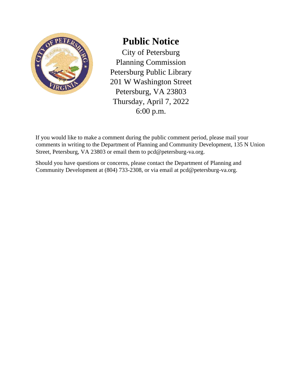

## **Public Notice**

City of Petersburg Planning Commission Petersburg Public Library 201 W Washington Street Petersburg, VA 23803 Thursday, April 7, 2022 6:00 p.m.

If you would like to make a comment during the public comment period, please mail your comments in writing to the Department of Planning and Community Development, 135 N Union Street, Petersburg, VA 23803 or email them to pcd@petersburg-va.org.

Should you have questions or concerns, please contact the Department of Planning and Community Development at (804) 733-2308, or via email at pcd@petersburg-va.org.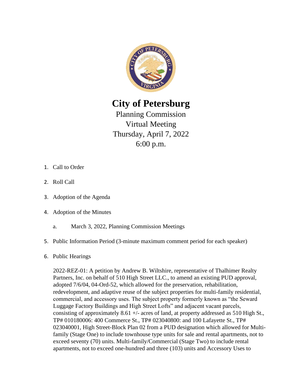

**City of Petersburg** 

Planning Commission Virtual Meeting Thursday, April 7, 2022 6:00 p.m.

- 1. Call to Order
- 2. Roll Call
- 3. Adoption of the Agenda
- 4. Adoption of the Minutes
	- a. March 3, 2022, Planning Commission Meetings
- 5. Public Information Period (3-minute maximum comment period for each speaker)
- 6. Public Hearings

2022-REZ-01: A petition by Andrew B. Wiltshire, representative of Thalhimer Realty Partners, Inc. on behalf of 510 High Street LLC., to amend an existing PUD approval, adopted 7/6/04, 04-Ord-52, which allowed for the preservation, rehabilitation, redevelopment, and adaptive reuse of the subject properties for multi-family residential, commercial, and accessory uses. The subject property formerly known as "the Seward Luggage Factory Buildings and High Street Lofts" and adjacent vacant parcels, consisting of approximately 8.61 +/- acres of land, at property addressed as 510 High St., TP# 010180006: 400 Commerce St., TP# 023040800: and 100 Lafayette St., TP# 023040001, High Street-Block Plan 02 from a PUD designation which allowed for Multifamily (Stage One) to include townhouse type units for sale and rental apartments, not to exceed seventy (70) units. Multi-family/Commercial (Stage Two) to include rental apartments, not to exceed one-hundred and three (103) units and Accessory Uses to